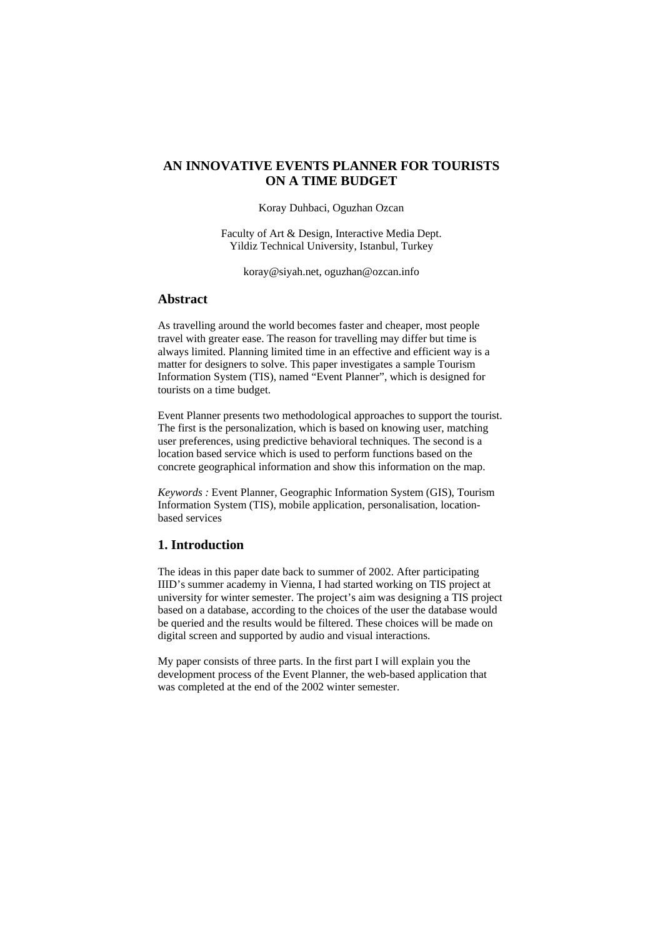# **AN INNOVATIVE EVENTS PLANNER FOR TOURISTS ON A TIME BUDGET**

Koray Duhbaci, Oguzhan Ozcan

Faculty of Art & Design, Interactive Media Dept. Yildiz Technical University, Istanbul, Turkey

koray@siyah.net, oguzhan@ozcan.info

## **Abstract**

As travelling around the world becomes faster and cheaper, most people travel with greater ease. The reason for travelling may differ but time is always limited. Planning limited time in an effective and efficient way is a matter for designers to solve. This paper investigates a sample Tourism Information System (TIS), named "Event Planner", which is designed for tourists on a time budget.

Event Planner presents two methodological approaches to support the tourist. The first is the personalization, which is based on knowing user, matching user preferences, using predictive behavioral techniques. The second is a location based service which is used to perform functions based on the concrete geographical information and show this information on the map.

*Keywords :* Event Planner, Geographic Information System (GIS), Tourism Information System (TIS), mobile application, personalisation, locationbased services

## **1. Introduction**

The ideas in this paper date back to summer of 2002. After participating IIID's summer academy in Vienna, I had started working on TIS project at university for winter semester. The project's aim was designing a TIS project based on a database, according to the choices of the user the database would be queried and the results would be filtered. These choices will be made on digital screen and supported by audio and visual interactions.

My paper consists of three parts. In the first part I will explain you the development process of the Event Planner, the web-based application that was completed at the end of the 2002 winter semester.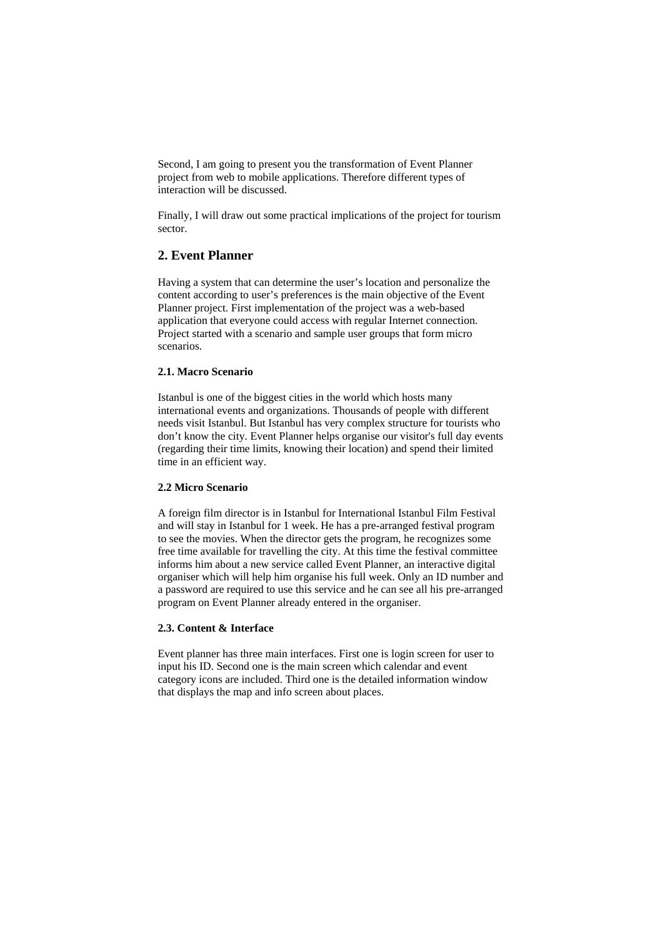Second, I am going to present you the transformation of Event Planner project from web to mobile applications. Therefore different types of interaction will be discussed.

Finally, I will draw out some practical implications of the project for tourism sector.

# **2. Event Planner**

Having a system that can determine the user's location and personalize the content according to user's preferences is the main objective of the Event Planner project. First implementation of the project was a web-based application that everyone could access with regular Internet connection. Project started with a scenario and sample user groups that form micro scenarios.

### **2.1. Macro Scenario**

Istanbul is one of the biggest cities in the world which hosts many international events and organizations. Thousands of people with different needs visit Istanbul. But Istanbul has very complex structure for tourists who don't know the city. Event Planner helps organise our visitor's full day events (regarding their time limits, knowing their location) and spend their limited time in an efficient way.

#### **2.2 Micro Scenario**

A foreign film director is in Istanbul for International Istanbul Film Festival and will stay in Istanbul for 1 week. He has a pre-arranged festival program to see the movies. When the director gets the program, he recognizes some free time available for travelling the city. At this time the festival committee informs him about a new service called Event Planner, an interactive digital organiser which will help him organise his full week. Only an ID number and a password are required to use this service and he can see all his pre-arranged program on Event Planner already entered in the organiser.

### **2.3. Content & Interface**

Event planner has three main interfaces. First one is login screen for user to input his ID. Second one is the main screen which calendar and event category icons are included. Third one is the detailed information window that displays the map and info screen about places.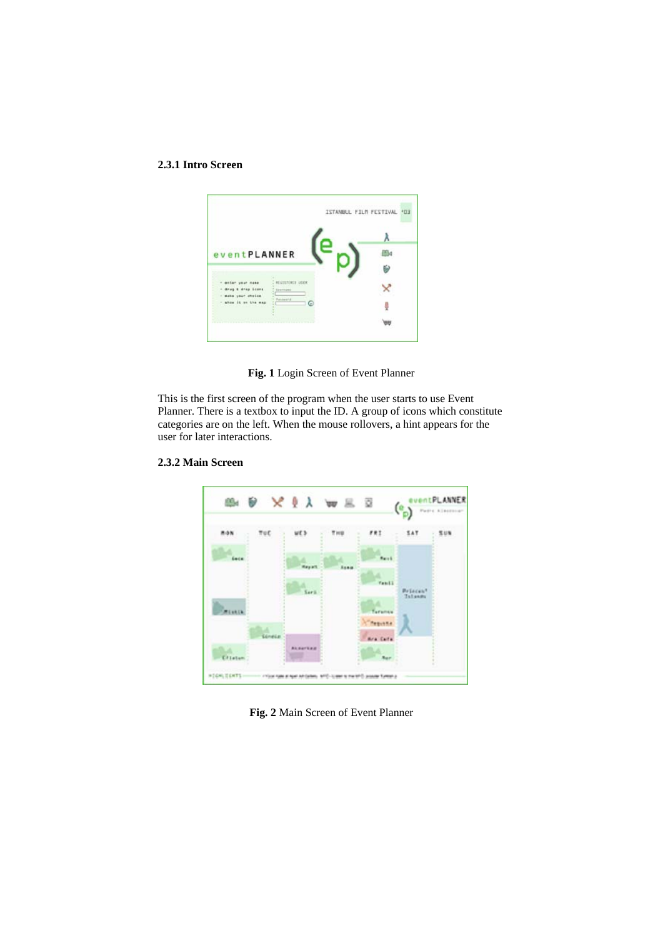## **2.3.1 Intro Screen**



**Fig. 1** Login Screen of Event Planner

This is the first screen of the program when the user starts to use Event Planner. There is a textbox to input the ID. A group of icons which constitute categories are on the left. When the mouse rollovers, a hint appears for the user for later interactions.



#### **2.3.2 Main Screen**

**Fig. 2** Main Screen of Event Planner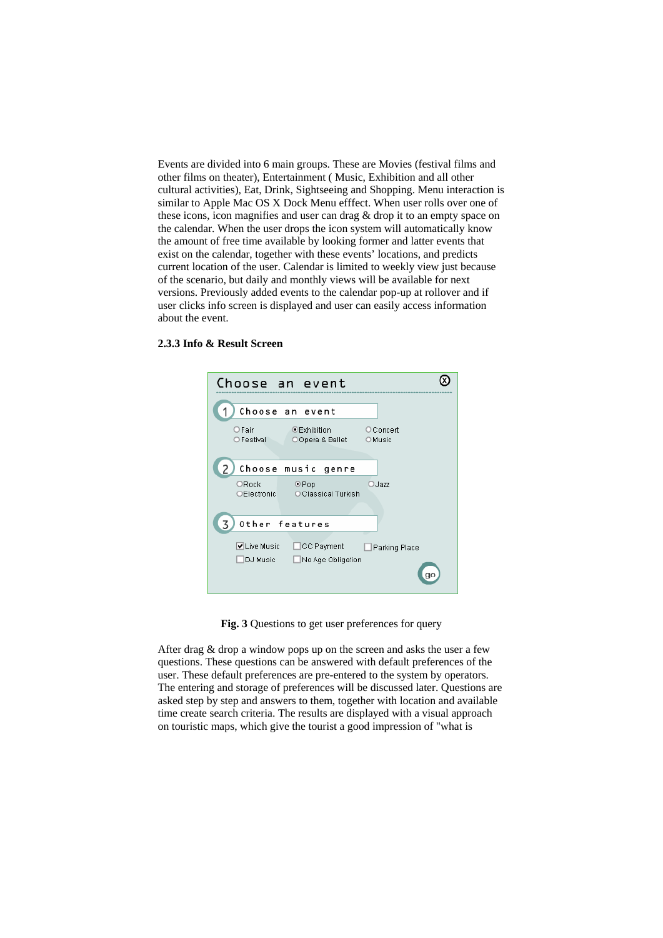Events are divided into 6 main groups. These are Movies (festival films and cultural activities), Eat, Drink, Sightseeing and Shopping. Menu interaction is current location of the user. Calendar is limited to weekly view just because versions. Previously added events to the calendar pop-up at rollover and if other films on theater), Entertainment ( Music, Exhibition and all other similar to Apple Mac OS X Dock Menu efffect. When user rolls over one of these icons, icon magnifies and user can drag & drop it to an empty space on the calendar. When the user drops the icon system will automatically know the amount of free time available by looking former and latter events that exist on the calendar, together with these events' locations, and predicts of the scenario, but daily and monthly views will be available for next user clicks info screen is displayed and user can easily access information about the event.

| Choose an event                                                 |                            |
|-----------------------------------------------------------------|----------------------------|
| Choose an event                                                 |                            |
| $O$ Fair<br>$\odot$ Exhibition<br>OFestival<br>○ Opera & Ballet | <b>O</b> Concert<br>OMusic |
| Choose music<br>genre                                           |                            |
| ORock<br>OPop<br><b>OElectronic</b><br>O Classical Turkish      | OJazz                      |
| Other features                                                  |                            |
| V Live Music<br>CC Payment<br>DJ Music<br>No Age Obligation     | Parking Place              |

#### **2.3.3 Info & Result Screen**

**Fig. 3** Questions to get user preferences for query

After drag  $&$  drop a window pops up on the screen and asks the user a few The entering and storage of preferences will be discussed later. Questions are on touristic maps, which give the tourist a good impression of "what is questions. These questions can be answered with default preferences of the user. These default preferences are pre-entered to the system by operators. asked step by step and answers to them, together with location and available time create search criteria. The results are displayed with a visual approach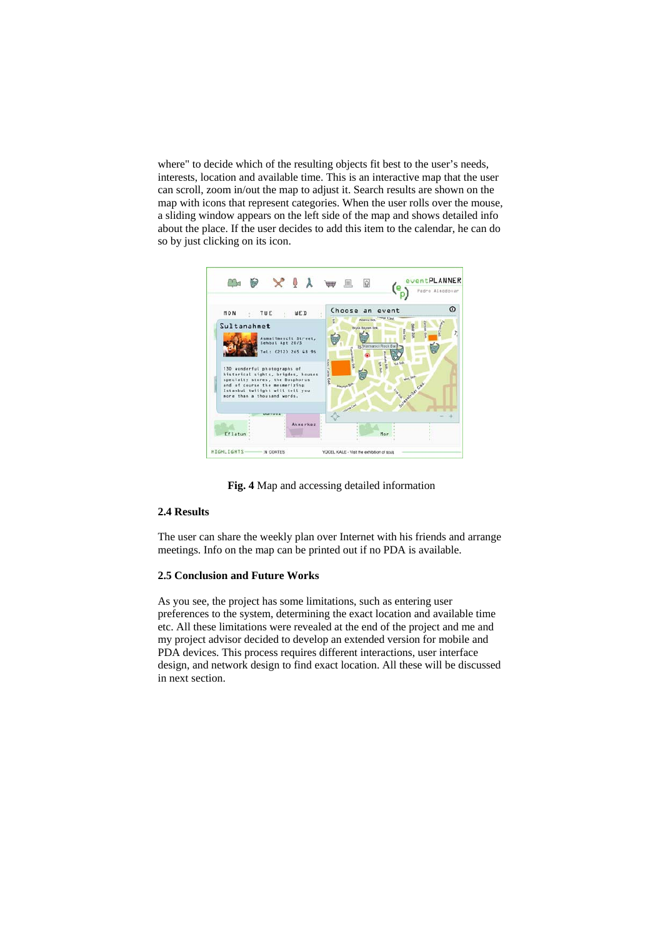where" to decide which of the resulting objects fit best to the user's needs, interests, location and available time. This is an interactive map that the user can scroll, zoom in/out the map to adjust it. Search results are shown on the map with icons that represent categories. When the user rolls over the mouse, a sliding window appears on the left side of the map and shows detailed info about the place. If the user decides to add this item to the calendar, he can do so by just clicking on its icon.



**Fig. 4** Map and accessing detailed information

## **2.4 Results**

The user can share the weekly plan over Internet with his friends and arrange meetings. Info on the map can be printed out if no PDA is available.

### **2.5 Conclusion and Future Works**

As you see, the project has some limitations, such as entering user preferences to the system, determining the exact location and available time etc. All these limitations were revealed at the end of the project and me and design, and network design to find exact location. All these will be discussed my project advisor decided to develop an extended version for mobile and PDA devices. This process requires different interactions, user interface in next section.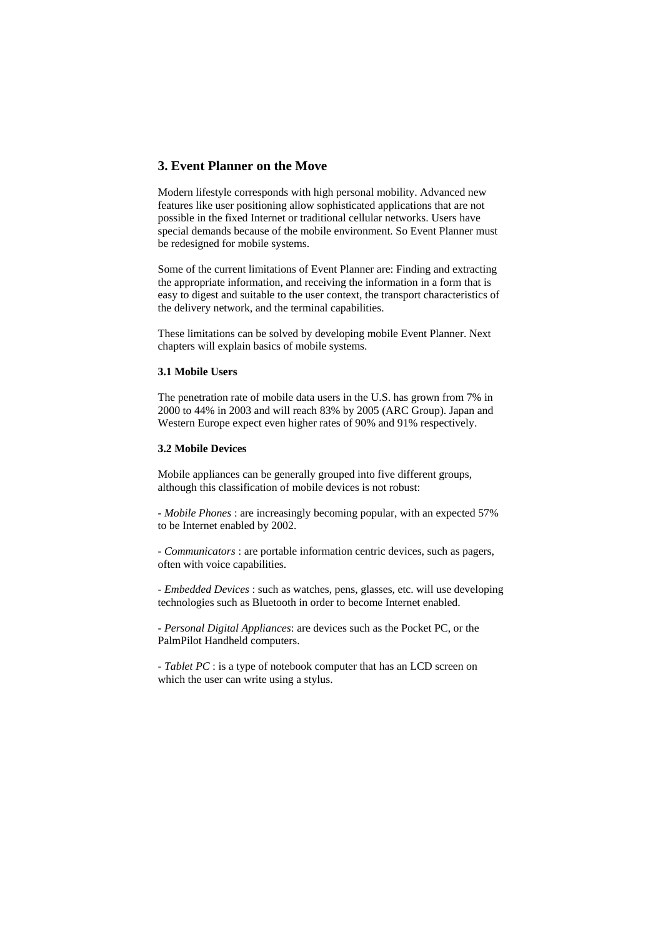## **3. Event Planner on the Move**

Modern lifestyle corresponds with high personal mobility. Advanced new features like user positioning allow sophisticated applications that are not possible in the fixed Internet or traditional cellular networks. Users have special demands because of the mobile environment. So Event Planner must be redesigned for mobile systems.

Some of the current limitations of Event Planner are: Finding and extracting the appropriate information, and receiving the information in a form that is easy to digest and suitable to the user context, the transport characteristics of the delivery network, and the terminal capabilities.

These limitations can be solved by developing mobile Event Planner. Next chapters will explain basics of mobile systems.

### **3.1 Mobile Users**

The penetration rate of mobile data users in the U.S. has grown from 7% in 2000 to 44% in 2003 and will reach 83% by 2005 (ARC Group). Japan and Western Europe expect even higher rates of 90% and 91% respectively.

### **3.2 Mobile Devices**

Mobile appliances can be generally grouped into five different groups, although this classification of mobile devices is not robust:

- *Mobile Phones* : are increasingly becoming popular, with an expected 57% to be Internet enabled by 2002.

- *Communicators* : are portable information centric devices, such as pagers, often with voice capabilities.

- *Embedded Devices* : such as watches, pens, glasses, etc. will use developing technologies such as Bluetooth in order to become Internet enabled.

- *Personal Digital Appliances*: are devices such as the Pocket PC, or the PalmPilot Handheld computers.

- *Tablet PC* : is a type of notebook computer that has an LCD screen on which the user can write using a stylus.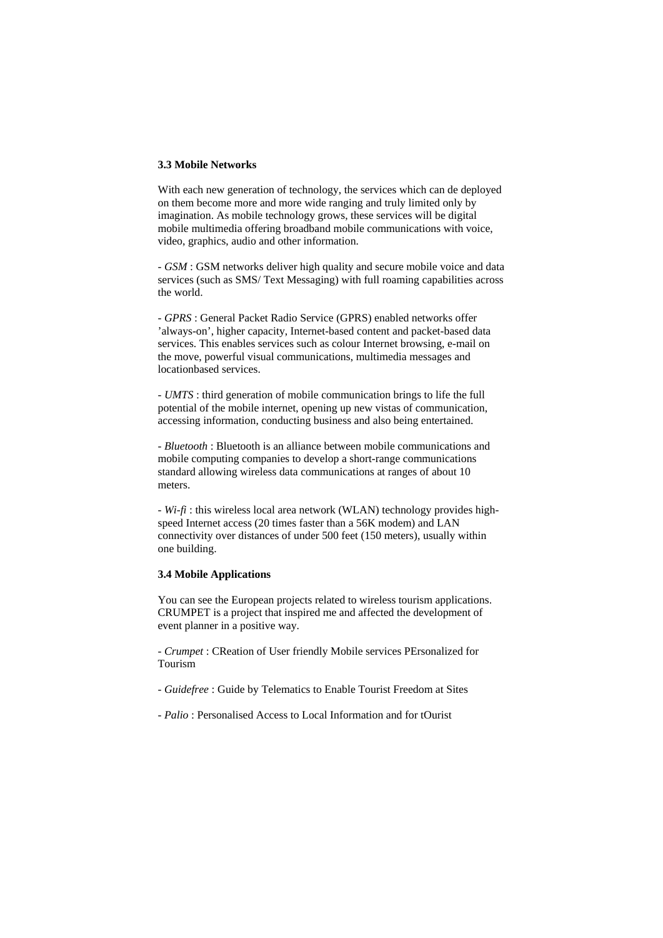### **3.3 Mobile Networks**

With each new generation of technology, the services which can de deployed on them become more and more wide ranging and truly limited only by imagination. As mobile technology grows, these services will be digital mobile multimedia offering broadband mobile communications with voice, video, graphics, audio and other information.

- *GSM* : GSM networks deliver high quality and secure mobile voice and data services (such as SMS/ Text Messaging) with full roaming capabilities across the world.

- *GPRS* : General Packet Radio Service (GPRS) enabled networks offer 'always-on', higher capacity, Internet-based content and packet-based data services. This enables services such as colour Internet browsing, e-mail on the move, powerful visual communications, multimedia messages and locationbased services.

- *UMTS* : third generation of mobile communication brings to life the full potential of the mobile internet, opening up new vistas of communication, accessing information, conducting business and also being entertained.

- *Bluetooth* : Bluetooth is an alliance between mobile communications and mobile computing companies to develop a short-range communications standard allowing wireless data communications at ranges of about 10 meters.

- *Wi-fi* : this wireless local area network (WLAN) technology provides highspeed Internet access (20 times faster than a 56K modem) and LAN connectivity over distances of under 500 feet (150 meters), usually within one building.

### **3.4 Mobile Applications**

You can see the European projects related to wireless tourism applications. CRUMPET is a project that inspired me and affected the development of event planner in a positive way.

- *Crumpet* : CReation of User friendly Mobile services PErsonalized for Tourism

- *Guidefree* : Guide by Telematics to Enable Tourist Freedom at Sites
- *Palio* : Personalised Access to Local Information and for tOurist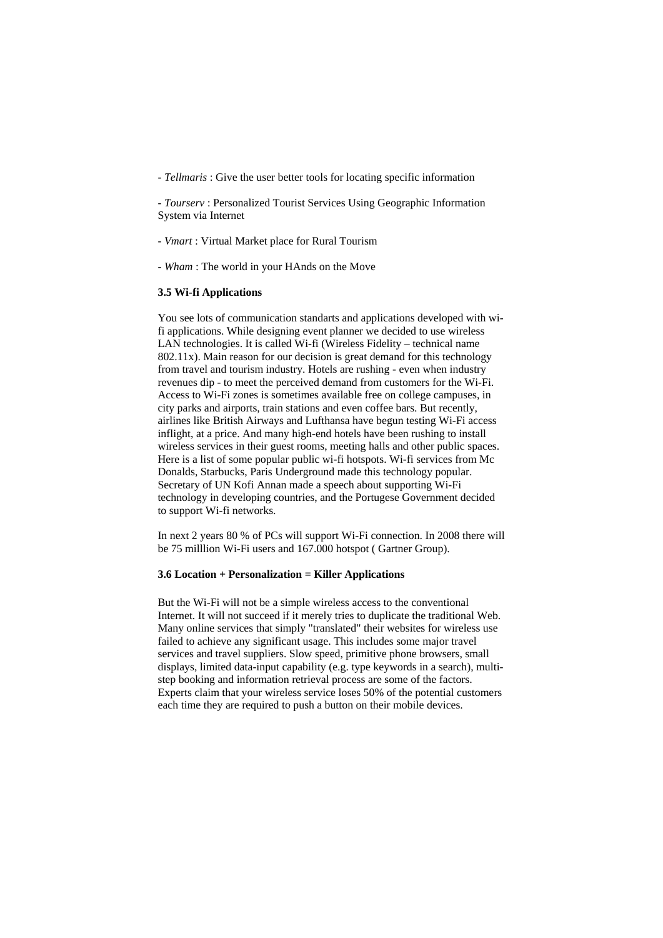- *Tellmaris* : Give the user better tools for locating specific information

- *Tourserv* : Personalized Tourist Services Using Geographic Information System via Internet

- *Vmart* : Virtual Market place for Rural Tourism

- *Wham* : The world in your HAnds on the Move

#### **3.5 Wi-fi Applications**

You see lots of communication standarts and applications developed with wifi applications. While designing event planner we decided to use wireless LAN technologies. It is called Wi-fi (Wireless Fidelity – technical name 802.11x). Main reason for our decision is great demand for this technology from travel and tourism industry. Hotels are rushing - even when industry revenues dip - to meet the perceived demand from customers for the Wi-Fi. Access to Wi-Fi zones is sometimes available free on college campuses, in city parks and airports, train stations and even coffee bars. But recently, airlines like British Airways and Lufthansa have begun testing Wi-Fi access inflight, at a price. And many high-end hotels have been rushing to install wireless services in their guest rooms, meeting halls and other public spaces. Here is a list of some popular public wi-fi hotspots. Wi-fi services from Mc Donalds, Starbucks, Paris Underground made this technology popular. Secretary of UN Kofi Annan made a speech about supporting Wi-Fi technology in developing countries, and the Portugese Government decided to support Wi-fi networks.

In next 2 years 80 % of PCs will support Wi-Fi connection. In 2008 there will be 75 milllion Wi-Fi users and 167.000 hotspot ( Gartner Group).

#### **3.6 Location + Personalization = Killer Applications**

But the Wi-Fi will not be a simple wireless access to the conventional Internet. It will not succeed if it merely tries to duplicate the traditional Web. Many online services that simply "translated" their websites for wireless use failed to achieve any significant usage. This includes some major travel services and travel suppliers. Slow speed, primitive phone browsers, small displays, limited data-input capability (e.g. type keywords in a search), multistep booking and information retrieval process are some of the factors. Experts claim that your wireless service loses 50% of the potential customers each time they are required to push a button on their mobile devices.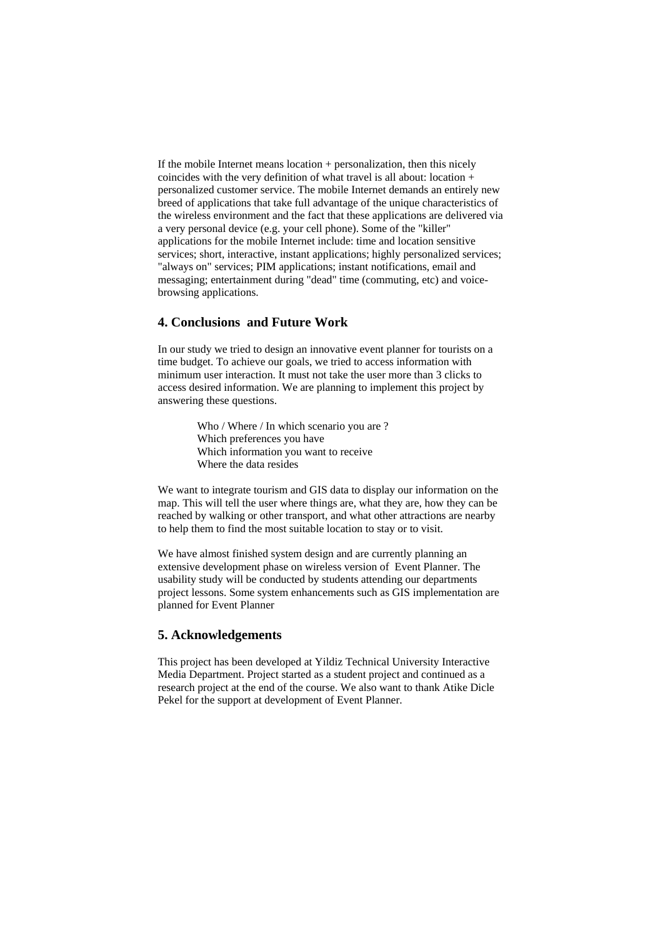If the mobile Internet means location + personalization, then this nicely coincides with the very definition of what travel is all about: location + personalized customer service. The mobile Internet demands an entirely new breed of applications that take full advantage of the unique characteristics of the wireless environment and the fact that these applications are delivered via a very personal device (e.g. your cell phone). Some of the "killer" applications for the mobile Internet include: time and location sensitive services; short, interactive, instant applications; highly personalized services; "always on" services; PIM applications; instant notifications, email and messaging; entertainment during "dead" time (commuting, etc) and voicebrowsing applications.

## **4. Conclusions and Future Work**

In our study we tried to design an innovative event planner for tourists on a time budget. To achieve our goals, we tried to access information with minimum user interaction. It must not take the user more than 3 clicks to access desired information. We are planning to implement this project by answering these questions.

> Who / Where / In which scenario you are ? Which preferences you have Which information you want to receive Where the data resides

We want to integrate tourism and GIS data to display our information on the map. This will tell the user where things are, what they are, how they can be reached by walking or other transport, and what other attractions are nearby to help them to find the most suitable location to stay or to visit.

We have almost finished system design and are currently planning an extensive development phase on wireless version of Event Planner. The usability study will be conducted by students attending our departments project lessons. Some system enhancements such as GIS implementation are planned for Event Planner

## **5. Acknowledgements**

This project has been developed at Yildiz Technical University Interactive Media Department. Project started as a student project and continued as a research project at the end of the course. We also want to thank Atike Dicle Pekel for the support at development of Event Planner.